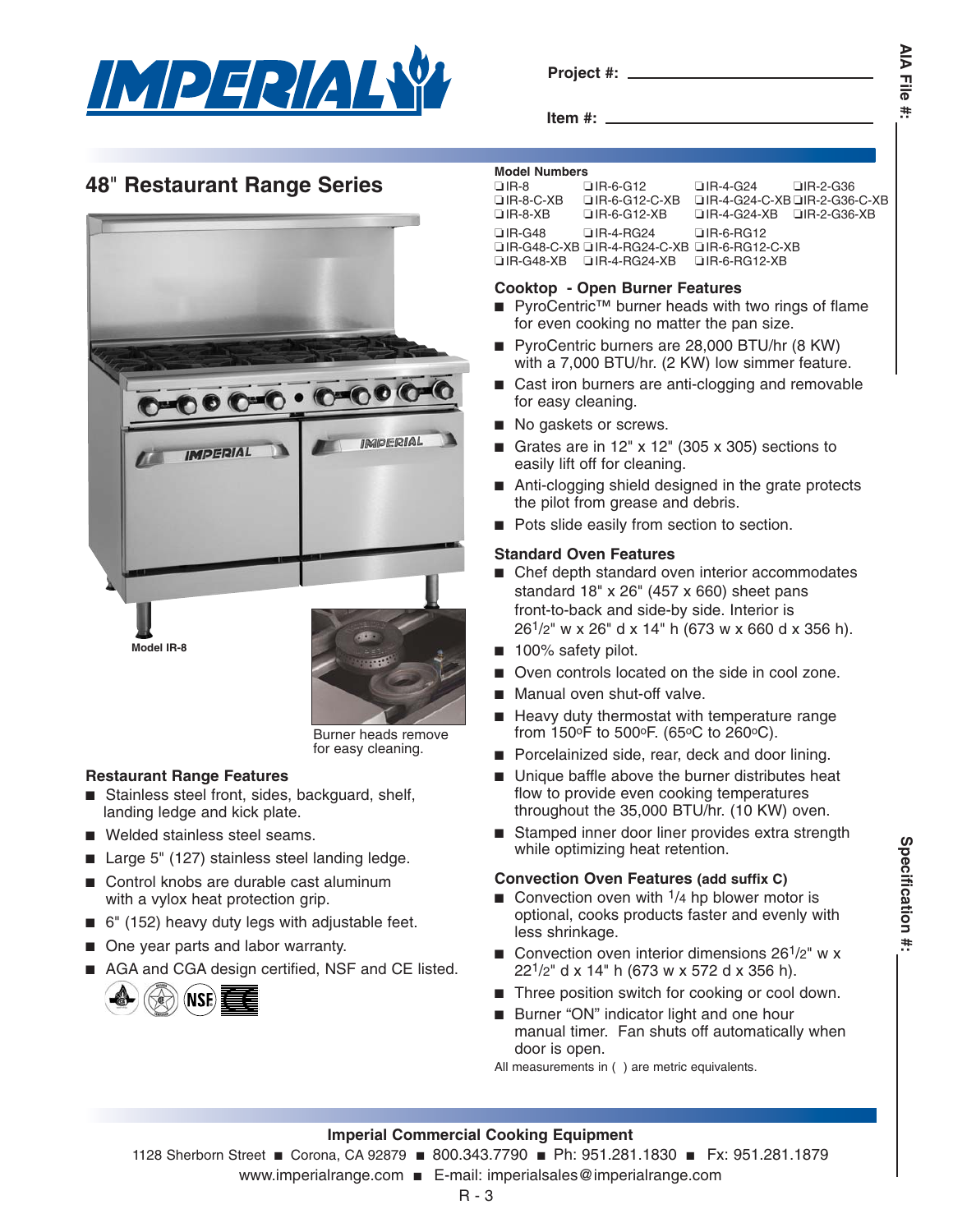

**Project #:**

**AIA File AIA File #:** ŧ.

**Item #:**

# **48**" **Restaurant Range Series**



Burner heads remove for easy cleaning.

# **Restaurant Range Features**

- Stainless steel front, sides, backguard, shelf, landing ledge and kick plate.
- Welded stainless steel seams.
- Large 5" (127) stainless steel landing ledge.
- Control knobs are durable cast aluminum with a vylox heat protection grip.
- 6" (152) heavy duty legs with adjustable feet.
- One year parts and labor warranty.
- AGA and CGA design certified, NSF and CE listed.



## **Model Numbers**

| $\Box$ IR-8      | $\Box$ IR-6-G12                                          | $\Box$ IR-4-G24 $\Box$ IR-2-G36       |                              |
|------------------|----------------------------------------------------------|---------------------------------------|------------------------------|
| $\Box$ IR-8-C-XB | $\Box$ IR-6-G12-C-XB                                     |                                       | □IR-4-G24-C-XB□IR-2-G36-C-XB |
| $\Box$ IR-8-XB   | □IR-6-G12-XB                                             | $\Box$ IR-4-G24-XB $\Box$ IR-2-G36-XB |                              |
| $\Box$ IR-G48    | $\Box$ IR-4-RG24 $\Box$ IR-6-RG12                        |                                       |                              |
|                  | □IR-G48-C-XB □IR-4-RG24-C-XB □IR-6-RG12-C-XB             |                                       |                              |
|                  | $\Box$ IR-G48-XB $\Box$ IR-4-RG24-XB $\Box$ IR-6-RG12-XB |                                       |                              |
|                  |                                                          |                                       |                              |

## **Cooktop - Open Burner Features**

- PyroCentric<sup>™</sup> burner heads with two rings of flame for even cooking no matter the pan size.
- PyroCentric burners are 28,000 BTU/hr (8 KW) with a 7,000 BTU/hr. (2 KW) low simmer feature.
- Cast iron burners are anti-clogging and removable for easy cleaning.
- No gaskets or screws.
- Grates are in  $12"$  x  $12"$  (305 x 305) sections to easily lift off for cleaning.
- Anti-clogging shield designed in the grate protects the pilot from grease and debris.
- Pots slide easily from section to section.

## **Standard Oven Features**

- Chef depth standard oven interior accommodates standard 18" x 26" (457 x 660) sheet pans front-to-back and side-by side. Interior is 261/2" w x 26" d x 14" h (673 w x 660 d x 356 h).
- 100% safety pilot.
- Oven controls located on the side in cool zone.
- Manual oven shut-off valve.
- Heavy duty thermostat with temperature range from 150°F to 500°F. (65°C to 260°C).
- Porcelainized side, rear, deck and door lining.
- Unique baffle above the burner distributes heat flow to provide even cooking temperatures throughout the 35,000 BTU/hr. (10 KW) oven.
- Stamped inner door liner provides extra strength while optimizing heat retention.

## **Convection Oven Features (add suffix C)**

- Convection oven with  $\frac{1}{4}$  hp blower motor is optional, cooks products faster and evenly with less shrinkage.
- Convection oven interior dimensions 26<sup>1</sup>/2" w x 221/2" d x 14" h (673 w x 572 d x 356 h).
- Three position switch for cooking or cool down.
- Burner "ON" indicator light and one hour manual timer. Fan shuts off automatically when door is open.

All measurements in ( ) are metric equivalents.

## **Imperial Commercial Cooking Equipment**

1128 Sherborn Street ■ Corona, CA 92879 ■ 800.343.7790 ■ Ph: 951.281.1830 ■ Fx: 951.281.1879

www.imperialrange.com ■ E-mail: imperialsales@imperialrange.com